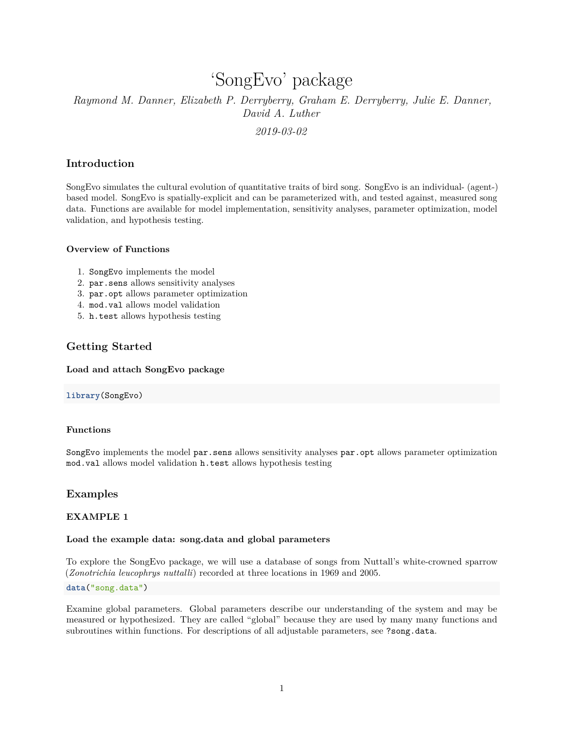# 'SongEvo' package

# *Raymond M. Danner, Elizabeth P. Derryberry, Graham E. Derryberry, Julie E. Danner, David A. Luther*

*2019-03-02*

# **Introduction**

SongEvo simulates the cultural evolution of quantitative traits of bird song. SongEvo is an individual- (agent-) based model. SongEvo is spatially-explicit and can be parameterized with, and tested against, measured song data. Functions are available for model implementation, sensitivity analyses, parameter optimization, model validation, and hypothesis testing.

## **Overview of Functions**

- 1. SongEvo implements the model
- 2. par.sens allows sensitivity analyses
- 3. par.opt allows parameter optimization
- 4. mod.val allows model validation
- 5. h.test allows hypothesis testing

# **Getting Started**

## **Load and attach SongEvo package**

### **library**(SongEvo)

### **Functions**

SongEvo implements the model par.sens allows sensitivity analyses par.opt allows parameter optimization mod.val allows model validation h.test allows hypothesis testing

# **Examples**

# **EXAMPLE 1**

# **Load the example data: song.data and global parameters**

To explore the SongEvo package, we will use a database of songs from Nuttall's white-crowned sparrow (*Zonotrichia leucophrys nuttalli*) recorded at three locations in 1969 and 2005.

# **data**("song.data")

Examine global parameters. Global parameters describe our understanding of the system and may be measured or hypothesized. They are called "global" because they are used by many many functions and subroutines within functions. For descriptions of all adjustable parameters, see ?song.data.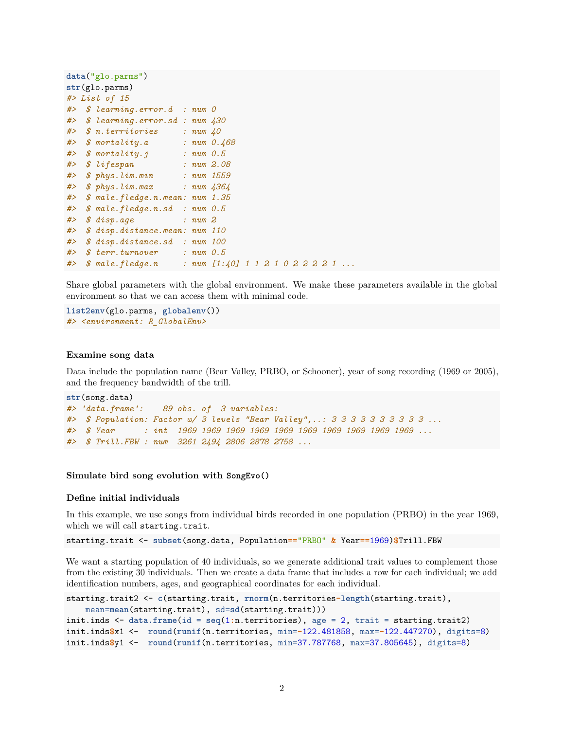```
data("glo.parms")
str(glo.parms)
#> List of 15
#> $ learning.error.d : num 0
#> $ learning.error.sd : num 430
#> $ n.territories : num 40
#> $ mortality.a : num 0.468
#> $ mortality.j : num 0.5
#> $ lifespan : num 2.08
#> $ phys.lim.min : num 1559
#> $ phys.lim.max : num 4364
#> $ male.fledge.n.mean: num 1.35
#> $ male.fledge.n.sd : num 0.5
#> $ disp.age : num 2
#> $ disp.distance.mean: num 110
#> $ disp.distance.sd : num 100
#> $ terr.turnover : num 0.5
#> $ male.fledge.n : num [1:40] 1 1 2 1 0 2 2 2 2 1 ...
```
Share global parameters with the global environment. We make these parameters available in the global environment so that we can access them with minimal code.

```
list2env(glo.parms, globalenv())
#> <environment: R_GlobalEnv>
```
#### **Examine song data**

Data include the population name (Bear Valley, PRBO, or Schooner), year of song recording (1969 or 2005), and the frequency bandwidth of the trill.

```
str(song.data)
#> 'data.frame': 89 obs. of 3 variables:
#> $ Population: Factor w/ 3 levels "Bear Valley",..: 3 3 3 3 3 3 3 3 3 3 ...
#> $ Year : int 1969 1969 1969 1969 1969 1969 1969 1969 1969 1969 ...
#> $ Trill.FBW : num 3261 2494 2806 2878 2758 ...
```
#### **Simulate bird song evolution with SongEvo()**

#### **Define initial individuals**

In this example, we use songs from individual birds recorded in one population (PRBO) in the year 1969, which we will call starting.trait.

starting.trait <- **subset**(song.data, Population**==**"PRBO" **&** Year**==**1969)**\$**Trill.FBW

We want a starting population of 40 individuals, so we generate additional trait values to complement those from the existing 30 individuals. Then we create a data frame that includes a row for each individual; we add identification numbers, ages, and geographical coordinates for each individual.

```
starting.trait2 <- c(starting.trait, rnorm(n.territories-length(starting.trait),
   mean=mean(starting.trait), sd=sd(starting.trait)))
init.inds <- data.frame(id = seq(1:n.territories), age = 2, trait = starting.trait2)
init.inds$x1 <- round(runif(n.territories, min=-122.481858, max=-122.447270), digits=8)
init.inds$y1 <- round(runif(n.territories, min=37.787768, max=37.805645), digits=8)
```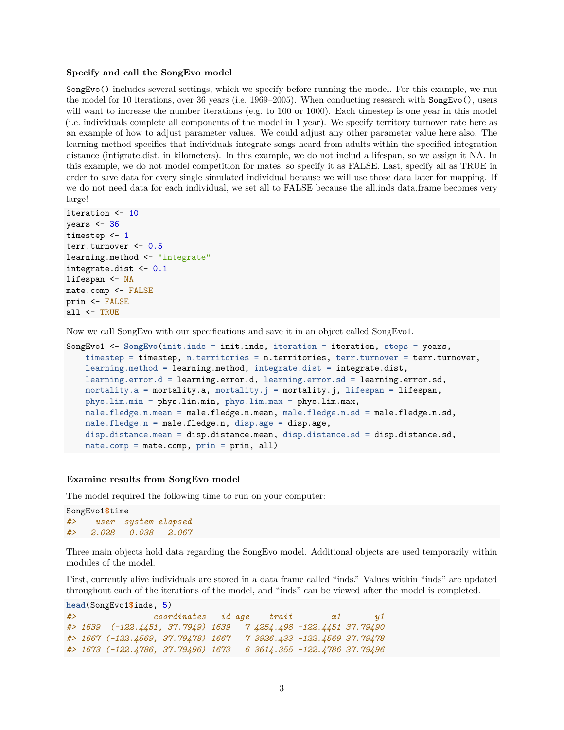#### **Specify and call the SongEvo model**

SongEvo() includes several settings, which we specify before running the model. For this example, we run the model for 10 iterations, over 36 years (i.e. 1969–2005). When conducting research with SongEvo(), users will want to increase the number iterations (e.g. to 100 or 1000). Each timestep is one year in this model (i.e. individuals complete all components of the model in 1 year). We specify territory turnover rate here as an example of how to adjust parameter values. We could adjust any other parameter value here also. The learning method specifies that individuals integrate songs heard from adults within the specified integration distance (intigrate.dist, in kilometers). In this example, we do not includ a lifespan, so we assign it NA. In this example, we do not model competition for mates, so specify it as FALSE. Last, specify all as TRUE in order to save data for every single simulated individual because we will use those data later for mapping. If we do not need data for each individual, we set all to FALSE because the all.inds data.frame becomes very large!

```
iteration <- 10
years <-36timestep <- 1
terr.turnover <- 0.5
learning.method <- "integrate"
integrate.dist <- 0.1
lifespan <- NA
mate.comp <- FALSE
prin <- FALSE
all <- TRUE
```
Now we call SongEvo with our specifications and save it in an object called SongEvo1.

```
SongEvo1 <- SongEvo(init.inds = init.inds, iteration = iteration, steps = years,
   timestep = timestep, n.territories = n.territories, terr.turnover = terr.turnover,
   learning.method = learning.method, integrate.dist = integrate.dist,
   learning.error.d = learning.error.d, learning.error.sd = learning.error.sd,
   mortality.a = mortality.a, mortality.j = mortality.j, lifespan = lifespan,
   phys.lim.min = phys.lim.min, phys.lim.max = phys.lim.max,
   male.fledge.n.mean = male.fledge.n.mean, male.fledge.n.sd = male.fledge.n.sd,
   male.fledge.n = male.fledge.n, disp.age = disp.age,
   disp.distance.mean = disp.distance.mean, disp.distance.sd = disp.distance.sd,
   mate.comp = mate.comp, prin = prin, all)
```
#### **Examine results from SongEvo model**

The model required the following time to run on your computer:

```
SongEvo1$time
#> user system elapsed
#> 2.028 0.038 2.067
```
Three main objects hold data regarding the SongEvo model. Additional objects are used temporarily within modules of the model.

First, currently alive individuals are stored in a data frame called "inds." Values within "inds" are updated throughout each of the iterations of the model, and "inds" can be viewed after the model is completed.

```
head(SongEvo1$inds, 5)
#> coordinates id age trait x1 y1
#> 1639 (-122.4451, 37.7949) 1639 7 4254.498 -122.4451 37.79490
#> 1667 (-122.4569, 37.79478) 1667 7 3926.433 -122.4569 37.79478
#> 1673 (-122.4786, 37.79496) 1673 6 3614.355 -122.4786 37.79496
```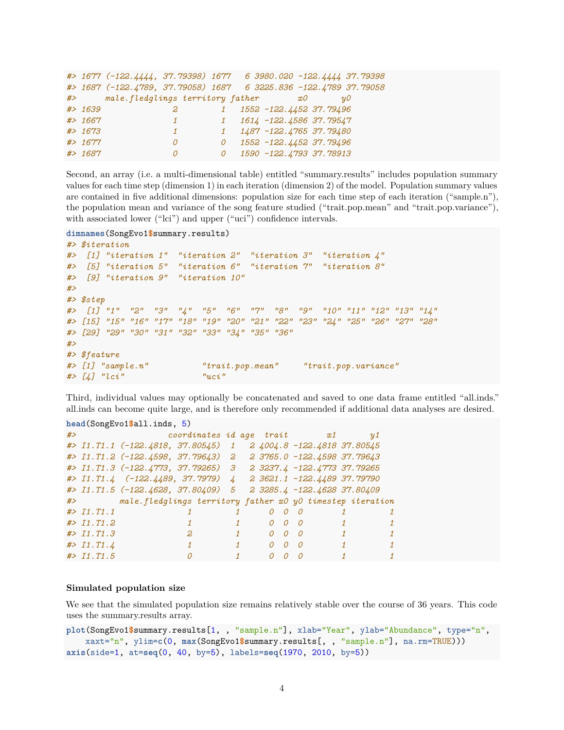|   |          |                                  |                | #> 1677 (-122.4444, 37.79398) 1677 6 3980.020 -122.4444 37.79398  |
|---|----------|----------------------------------|----------------|-------------------------------------------------------------------|
|   |          |                                  |                | #> 1687 (-122.4789, 37.79058) 1687  6 3225.836 -122.4789 37.79058 |
| # |          | male.fledglings territory father |                | x0<br>$\it u$ O                                                   |
|   | # > 1639 | $\overline{z}$                   |                | 1552 -122.4452 37.79496                                           |
|   | # > 1667 |                                  | $\overline{1}$ | 1614 -122.4586 37.79547                                           |
|   | # > 1673 |                                  |                | 1 1487 -122.4765 37.79480                                         |
|   | # > 1677 | 0                                | 0              | 1552 -122.4452 37.79496                                           |
|   | # > 1687 | 0                                | 0              | 1590 -122.4793 37.78913                                           |

Second, an array (i.e. a multi-dimensional table) entitled "summary.results" includes population summary values for each time step (dimension 1) in each iteration (dimension 2) of the model. Population summary values are contained in five additional dimensions: population size for each time step of each iteration ("sample.n"), the population mean and variance of the song feature studied ("trait.pop.mean" and "trait.pop.variance"), with associated lower ("lci") and upper ("uci") confidence intervals.

**dimnames**(SongEvo1**\$**summary.results)

```
#> $iteration
#> [1] "iteration 1" "iteration 2" "iteration 3" "iteration 4"
#> [5] "iteration 5" "iteration 6" "iteration 7" "iteration 8"
#> [9] "iteration 9" "iteration 10"
#>
#> $step
#> [1] "1" "2" "3" "4" "5" "6" "7" "8" "9" "10" "11" "12" "13" "14"
#> [15] "15" "16" "17" "18" "19" "20" "21" "22" "23" "24" "25" "26" "27" "28"
#> [29] "29" "30" "31" "32" "33" "34" "35" "36"
#>
#> $feature
#> [1] "sample.n" "trait.pop.mean" "trait.pop.variance"
#> [4] "lci" "uci"
```
Third, individual values may optionally be concatenated and saved to one data frame entitled "all.inds." all.inds can become quite large, and is therefore only recommended if additional data analyses are desired.

```
head(SongEvo1$all.inds, 5)
#> coordinates id age trait x1 y1
#> I1.T1.1 (-122.4818, 37.80545) 1 2 4004.8 -122.4818 37.80545
#> I1.T1.2 (-122.4598, 37.79643) 2 2 3765.0 -122.4598 37.79643
#> I1.T1.3 (-122.4773, 37.79265) 3 2 3237.4 -122.4773 37.79265
#> I1.T1.4 (-122.4489, 37.7979) 4 2 3621.1 -122.4489 37.79790
#> I1.T1.5 (-122.4628, 37.80409) 5 2 3285.4 -122.4628 37.80409
#> male.fledglings territory father x0 y0 timestep iteration
#> I1.T1.1 1 1 0 0 0 1 1
#> I1.T1.2 1 1 0 0 0 1 1
#> I1.T1.3 2 1 0 0 0 1 1
#> I1.T1.4 1 1 0 0 0 1 1
#> I1.T1.5 0 1 0 0 0 1 1
```
#### **Simulated population size**

We see that the simulated population size remains relatively stable over the course of 36 years. This code uses the summary.results array.

```
plot(SongEvo1$summary.results[1, , "sample.n"], xlab="Year", ylab="Abundance", type="n",
    xaxt="n", ylim=c(0, max(SongEvo1$summary.results[, , "sample.n"], na.rm=TRUE)))
axis(side=1, at=seq(0, 40, by=5), labels=seq(1970, 2010, by=5))
```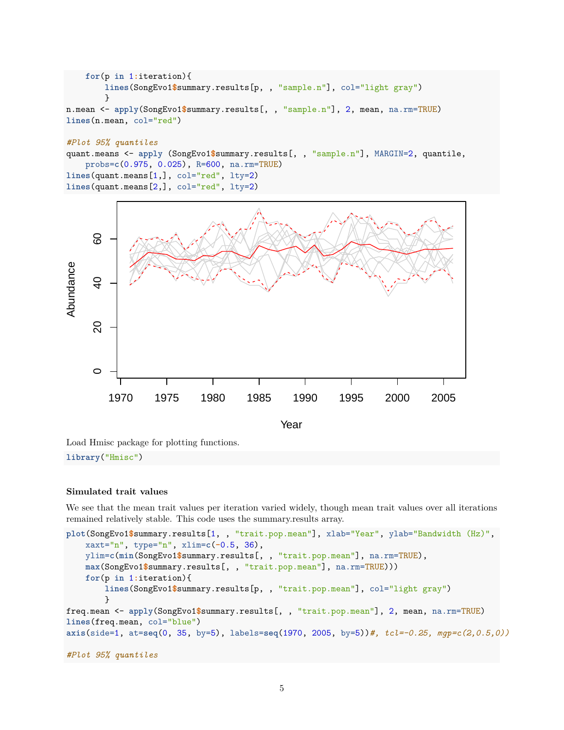```
for(p in 1:iteration){
        lines(SongEvo1$summary.results[p, , "sample.n"], col="light gray")
        }
n.mean <- apply(SongEvo1$summary.results[, , "sample.n"], 2, mean, na.rm=TRUE)
lines(n.mean, col="red")
```

```
#Plot 95% quantiles
quant.means <- apply (SongEvo1$summary.results[, , "sample.n"], MARGIN=2, quantile,
    probs=c(0.975, 0.025), R=600, na.rm=TRUE)
lines(quant.means[1,], col="red", lty=2)
lines(quant.means[2,], col="red", lty=2)
```


Load Hmisc package for plotting functions. **library**("Hmisc")

# **Simulated trait values**

We see that the mean trait values per iteration varied widely, though mean trait values over all iterations remained relatively stable. This code uses the summary.results array.

```
plot(SongEvo1$summary.results[1, , "trait.pop.mean"], xlab="Year", ylab="Bandwidth (Hz)",
    xaxt="n", type="n", xlim=c(-0.5, 36),
   ylim=c(min(SongEvo1$summary.results[, , "trait.pop.mean"], na.rm=TRUE),
   max(SongEvo1$summary.results[, , "trait.pop.mean"], na.rm=TRUE)))
   for(p in 1:iteration){
        lines(SongEvo1$summary.results[p, , "trait.pop.mean"], col="light gray")
        }
freq.mean <- apply(SongEvo1$summary.results[, , "trait.pop.mean"], 2, mean, na.rm=TRUE)
lines(freq.mean, col="blue")
axis(side=1, at=seq(0, 35, by=5), labels=seq(1970, 2005, by=5))#, tcl=-0.25, mgp=c(2,0.5,0))
#Plot 95% quantiles
```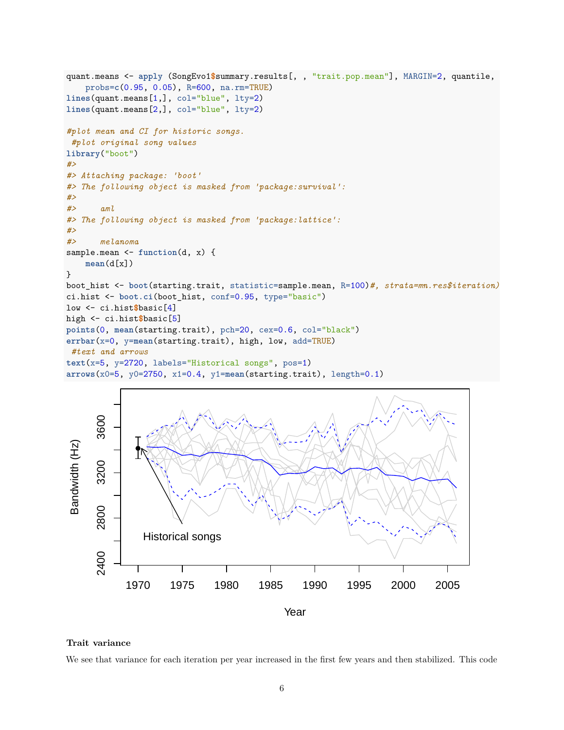```
quant.means <- apply (SongEvo1$summary.results[, , "trait.pop.mean"], MARGIN=2, quantile,
    probs=c(0.95, 0.05), R=600, na.rm=TRUE)
lines(quant.means[1,], col="blue", lty=2)
lines(quant.means[2,], col="blue", lty=2)
#plot mean and CI for historic songs.
#plot original song values
library("boot")
#>
#> Attaching package: 'boot'
#> The following object is masked from 'package:survival':
#>
#> aml
#> The following object is masked from 'package:lattice':
#>
#> melanoma
sample.mean <- function(d, x) {
    mean(d[x])
}
boot_hist <- boot(starting.trait, statistic=sample.mean, R=100)#, strata=mn.res$iteration)
ci.hist <- boot.ci(boot_hist, conf=0.95, type="basic")
low <- ci.hist$basic[4]
high <- ci.hist$basic[5]
points(0, mean(starting.trait), pch=20, cex=0.6, col="black")
errbar(x=0, y=mean(starting.trait), high, low, add=TRUE)
 #text and arrows
text(x=5, y=2720, labels="Historical songs", pos=1)
arrows(x0=5, y0=2750, x1=0.4, y1=mean(starting.trait), length=0.1)
```


#### **Trait variance**

We see that variance for each iteration per year increased in the first few years and then stabilized. This code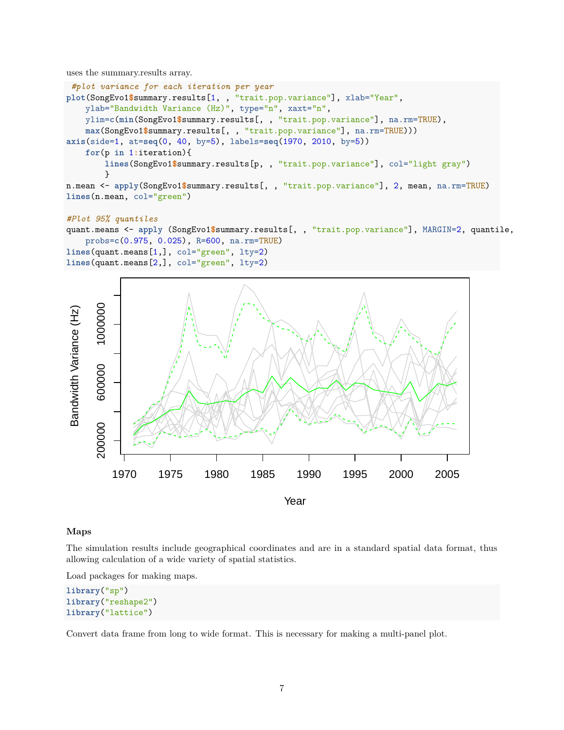uses the summary.results array.

```
#plot variance for each iteration per year
plot(SongEvo1$summary.results[1, , "trait.pop.variance"], xlab="Year",
    ylab="Bandwidth Variance (Hz)", type="n", xaxt="n",
   ylim=c(min(SongEvo1$summary.results[, , "trait.pop.variance"], na.rm=TRUE),
   max(SongEvo1$summary.results[, , "trait.pop.variance"], na.rm=TRUE)))
axis(side=1, at=seq(0, 40, by=5), labels=seq(1970, 2010, by=5))
    for(p in 1:iteration){
        lines(SongEvo1$summary.results[p, , "trait.pop.variance"], col="light gray")
        }
n.mean <- apply(SongEvo1$summary.results[, , "trait.pop.variance"], 2, mean, na.rm=TRUE)
lines(n.mean, col="green")
```
#### *#Plot 95% quantiles*

```
quant.means <- apply (SongEvo1$summary.results[, , "trait.pop.variance"], MARGIN=2, quantile,
   probs=c(0.975, 0.025), R=600, na.rm=TRUE)
lines(quant.means[1,], col="green", lty=2)
lines(quant.means[2,], col="green", lty=2)
```


#### **Maps**

The simulation results include geographical coordinates and are in a standard spatial data format, thus allowing calculation of a wide variety of spatial statistics.

Load packages for making maps.

```
library("sp")
library("reshape2")
library("lattice")
```
Convert data frame from long to wide format. This is necessary for making a multi-panel plot.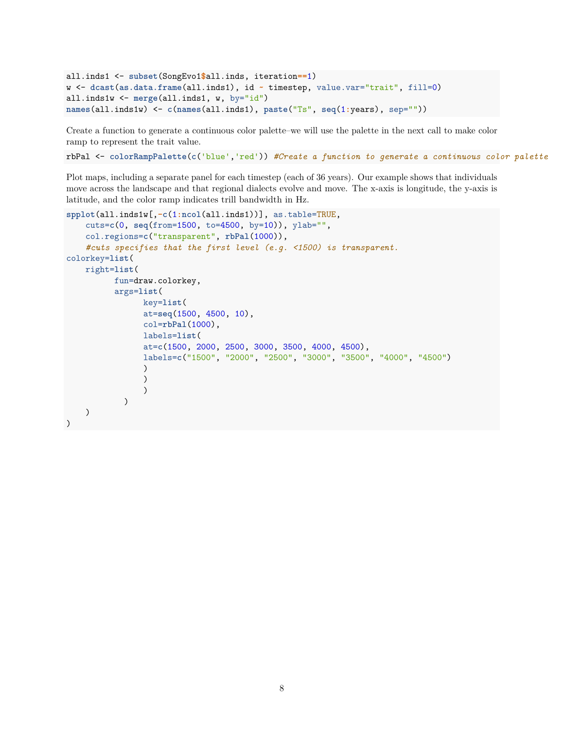```
all.inds1 <- subset(SongEvo1$all.inds, iteration==1)
w <- dcast(as.data.frame(all.inds1), id ~ timestep, value.var="trait", fill=0)
all.inds1w <- merge(all.inds1, w, by="id")
names(all.inds1w) <- c(names(all.inds1), paste("Ts", seq(1:years), sep=""))
```
Create a function to generate a continuous color palette–we will use the palette in the next call to make color ramp to represent the trait value.

rbPal <- **colorRampPalette**(**c**('blue','red')) *#Create a function to generate a continuous color palette*

Plot maps, including a separate panel for each timestep (each of 36 years). Our example shows that individuals move across the landscape and that regional dialects evolve and move. The x-axis is longitude, the y-axis is latitude, and the color ramp indicates trill bandwidth in Hz.

```
spplot(all.inds1w[,-c(1:ncol(all.inds1))], as.table=TRUE,
    cuts=c(0, seq(from=1500, to=4500, by=10)), ylab="",
    col.regions=c("transparent", rbPal(1000)),
    #cuts specifies that the first level (e.g. <1500) is transparent.
colorkey=list(
    right=list(
          fun=draw.colorkey,
          args=list(
                key=list(
                at=seq(1500, 4500, 10),
                col=rbPal(1000),
                labels=list(
                at=c(1500, 2000, 2500, 3000, 3500, 4000, 4500),
                labels=c("1500", "2000", "2500", "3000", "3500", "4000", "4500")
                \lambda)
                )
            )
    )
)
```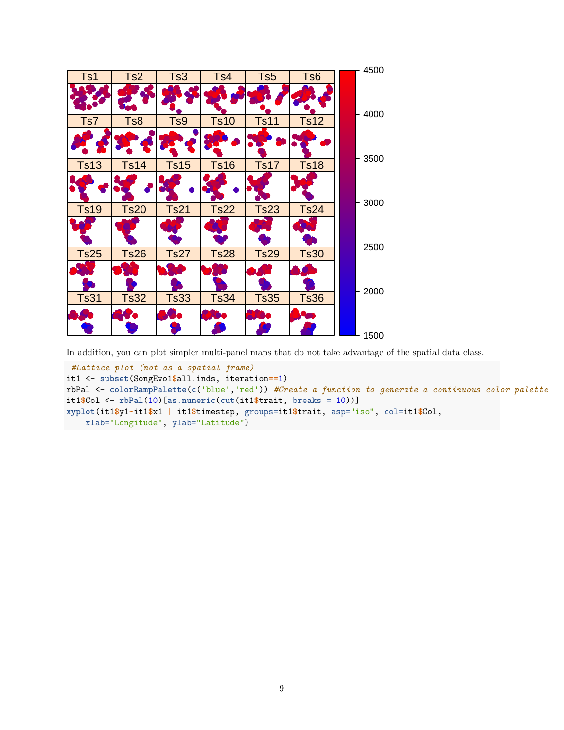

In addition, you can plot simpler multi-panel maps that do not take advantage of the spatial data class.

```
#Lattice plot (not as a spatial frame)
it1 <- subset(SongEvo1$all.inds, iteration==1)
rbPal <- colorRampPalette(c('blue','red')) #Create a function to generate a continuous color palette
it1$Col <- rbPal(10)[as.numeric(cut(it1$trait, breaks = 10))]
xyplot(it1$y1~it1$x1 | it1$timestep, groups=it1$trait, asp="iso", col=it1$Col,
    xlab="Longitude", ylab="Latitude")
```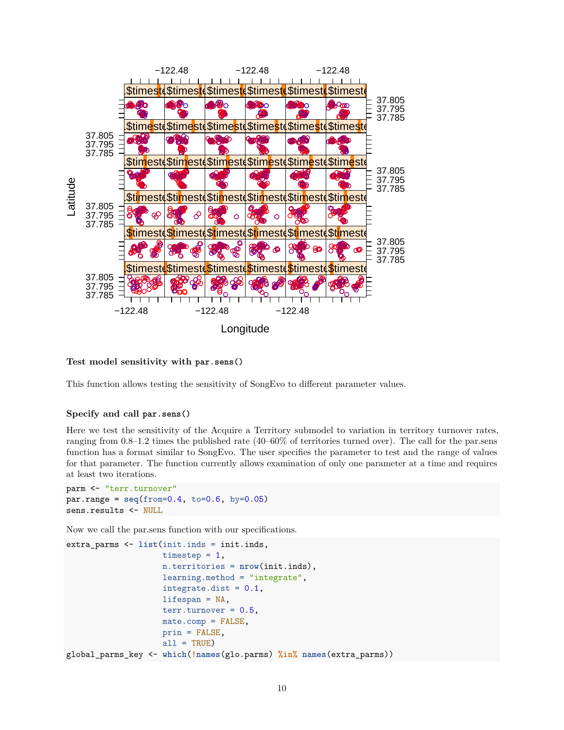

## **Test model sensitivity with par.sens()**

This function allows testing the sensitivity of SongEvo to different parameter values.

### **Specify and call par.sens()**

Here we test the sensitivity of the Acquire a Territory submodel to variation in territory turnover rates, ranging from 0.8–1.2 times the published rate (40–60% of territories turned over). The call for the par.sens function has a format similar to SongEvo. The user specifies the parameter to test and the range of values for that parameter. The function currently allows examination of only one parameter at a time and requires at least two iterations.

```
parm <- "terr.turnover"
par.name = seq(from=0.4, to=0.6, by=0.05)sens.results <- NULL
```
Now we call the par.sens function with our specifications.

```
extra_parms <- list(init.inds = init.inds,
                    timestep = 1,
                    n.territories = nrow(init.inds),
                    learning.method = "integrate",
                    integrate.dist = 0.1,
                    lifespan = NA,
                    terr.turnover = 0.5,
                    mate.comp = FALSE,
                    prin = FALSE,
                    all = TRUE)
global_parms_key <- which(!names(glo.parms) %in% names(extra_parms))
```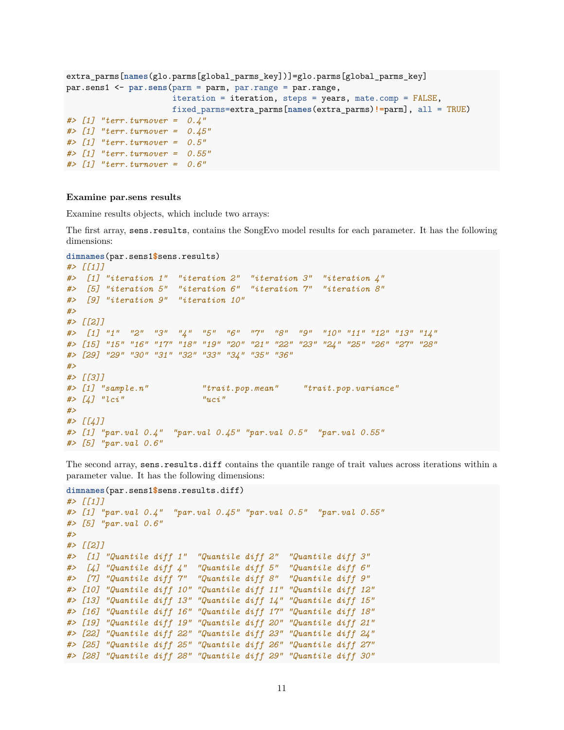```
extra_parms[names(glo.parms[global_parms_key])]=glo.parms[global_parms_key]
par.sens1 <- par.sens(parm = parm, par.range = par.range,
                     iteration = iteration, steps = years, mate.comp = FALSE,
                     fixed_parms=extra_parms[names(extra_parms)!=parm], all = TRUE)
#> [1] "terr.turnover = 0.4"
#> [1] "terr.turnover = 0.45"
#> [1] "terr.turnover = 0.5"
#> [1] "terr.turnover = 0.55"
#> [1] "terr.turnover = 0.6"
```
#### **Examine par.sens results**

Examine results objects, which include two arrays:

The first array, sens.results, contains the SongEvo model results for each parameter. It has the following dimensions:

```
dimnames(par.sens1$sens.results)
#> [[1]]
#> [1] "iteration 1" "iteration 2" "iteration 3" "iteration 4"
#> [5] "iteration 5" "iteration 6" "iteration 7" "iteration 8"
#> [9] "iteration 9" "iteration 10"
#>
#> [[2]]
#> [1] "1" "2" "3" "4" "5" "6" "7" "8" "9" "10" "11" "12" "13" "14"
#> [15] "15" "16" "17" "18" "19" "20" "21" "22" "23" "24" "25" "26" "27" "28"
#> [29] "29" "30" "31" "32" "33" "34" "35" "36"
#>
#> [[3]]
#> [1] "sample.n" "trait.pop.mean" "trait.pop.variance"
#> [4] "lci" "uci"
#>
#> [[4]]
#> [1] "par.val 0.4" "par.val 0.45" "par.val 0.5" "par.val 0.55"
#> [5] "par.val 0.6"
```
The second array, sens.results.diff contains the quantile range of trait values across iterations within a parameter value. It has the following dimensions:

```
dimnames(par.sens1$sens.results.diff)
#> [[1]]
#> [1] "par.val 0.4" "par.val 0.45" "par.val 0.5" "par.val 0.55"
#> [5] "par.val 0.6"
#>
#> [[2]]
#> [1] "Quantile diff 1" "Quantile diff 2" "Quantile diff 3"
#> [4] "Quantile diff 4" "Quantile diff 5" "Quantile diff 6"
#> [7] "Quantile diff 7" "Quantile diff 8" "Quantile diff 9"
#> [10] "Quantile diff 10" "Quantile diff 11" "Quantile diff 12"
#> [13] "Quantile diff 13" "Quantile diff 14" "Quantile diff 15"
#> [16] "Quantile diff 16" "Quantile diff 17" "Quantile diff 18"
#> [19] "Quantile diff 19" "Quantile diff 20" "Quantile diff 21"
#> [22] "Quantile diff 22" "Quantile diff 23" "Quantile diff 24"
#> [25] "Quantile diff 25" "Quantile diff 26" "Quantile diff 27"
#> [28] "Quantile diff 28" "Quantile diff 29" "Quantile diff 30"
```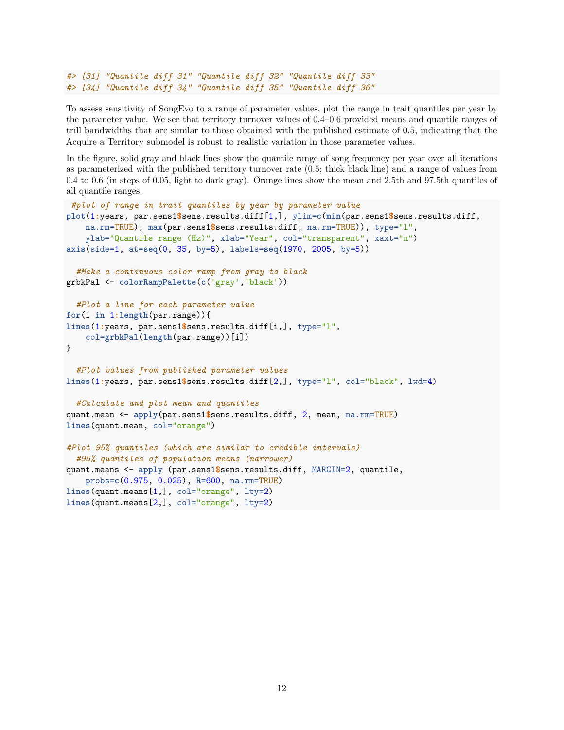```
#> [31] "Quantile diff 31" "Quantile diff 32" "Quantile diff 33"
#> [34] "Quantile diff 34" "Quantile diff 35" "Quantile diff 36"
```
To assess sensitivity of SongEvo to a range of parameter values, plot the range in trait quantiles per year by the parameter value. We see that territory turnover values of 0.4–0.6 provided means and quantile ranges of trill bandwidths that are similar to those obtained with the published estimate of 0.5, indicating that the Acquire a Territory submodel is robust to realistic variation in those parameter values.

In the figure, solid gray and black lines show the quantile range of song frequency per year over all iterations as parameterized with the published territory turnover rate (0.5; thick black line) and a range of values from 0.4 to 0.6 (in steps of 0.05, light to dark gray). Orange lines show the mean and 2.5th and 97.5th quantiles of all quantile ranges.

```
#plot of range in trait quantiles by year by parameter value
plot(1:years, par.sens1$sens.results.diff[1,], ylim=c(min(par.sens1$sens.results.diff,
    na.rm=TRUE), max(par.sens1$sens.results.diff, na.rm=TRUE)), type="l",
    ylab="Quantile range (Hz)", xlab="Year", col="transparent", xaxt="n")
axis(side=1, at=seq(0, 35, by=5), labels=seq(1970, 2005, by=5))
  #Make a continuous color ramp from gray to black
grbkPal <- colorRampPalette(c('gray','black'))
  #Plot a line for each parameter value
for(i in 1:length(par.range)){
lines(1:years, par.sens1$sens.results.diff[i,], type="l",
    col=grbkPal(length(par.range))[i])
}
  #Plot values from published parameter values
lines(1:years, par.sens1$sens.results.diff[2,], type="l", col="black", lwd=4)
  #Calculate and plot mean and quantiles
quant.mean <- apply(par.sens1$sens.results.diff, 2, mean, na.rm=TRUE)
lines(quant.mean, col="orange")
#Plot 95% quantiles (which are similar to credible intervals)
  #95% quantiles of population means (narrower)
quant.means <- apply (par.sens1$sens.results.diff, MARGIN=2, quantile,
    probs=c(0.975, 0.025), R=600, na.rm=TRUE)
lines(quant.means[1,], col="orange", lty=2)
lines(quant.means[2,], col="orange", lty=2)
```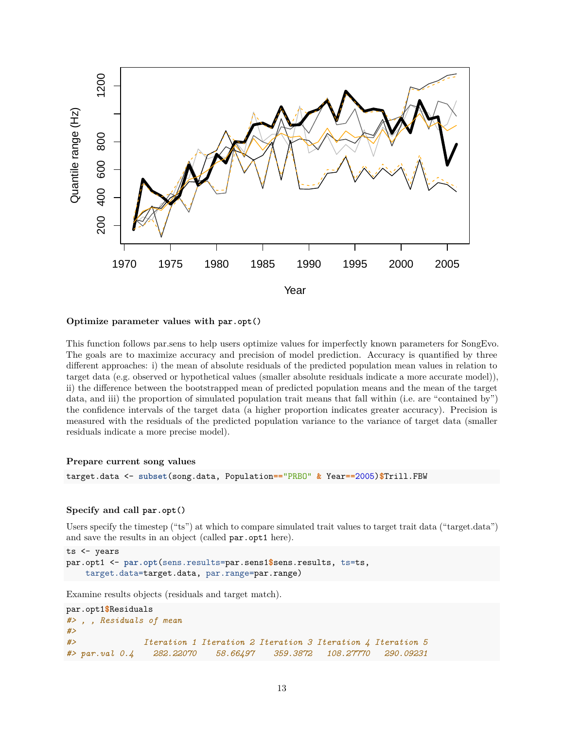

## **Optimize parameter values with par.opt()**

This function follows par.sens to help users optimize values for imperfectly known parameters for SongEvo. The goals are to maximize accuracy and precision of model prediction. Accuracy is quantified by three different approaches: i) the mean of absolute residuals of the predicted population mean values in relation to target data (e.g. observed or hypothetical values (smaller absolute residuals indicate a more accurate model)), ii) the difference between the bootstrapped mean of predicted population means and the mean of the target data, and iii) the proportion of simulated population trait means that fall within (i.e. are "contained by") the confidence intervals of the target data (a higher proportion indicates greater accuracy). Precision is measured with the residuals of the predicted population variance to the variance of target data (smaller residuals indicate a more precise model).

#### **Prepare current song values**

target.data <- **subset**(song.data, Population**==**"PRBO" **&** Year**==**2005)**\$**Trill.FBW

#### **Specify and call par.opt()**

Users specify the timestep ("ts") at which to compare simulated trait values to target trait data ("target.data") and save the results in an object (called par.opt1 here).

```
ts <- years
par.opt1 <- par.opt(sens.results=par.sens1$sens.results, ts=ts,
    target.data=target.data, par.range=par.range)
```
Examine results objects (residuals and target match).

```
par.opt1$Residuals
#> , , Residuals of mean
#>
#> Iteration 1 Iteration 2 Iteration 3 Iteration 4 Iteration 5
#> par.val 0.4 282.22070 58.66497 359.3872 108.27770 290.09231
```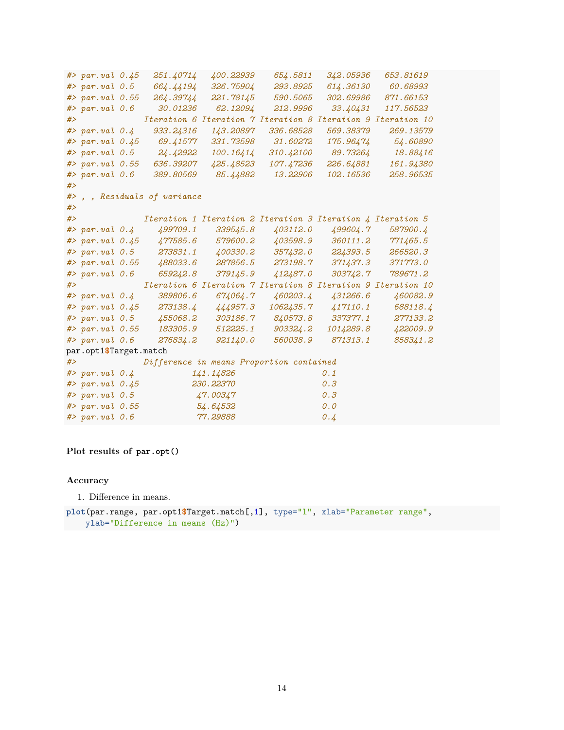```
#> par.val 0.45 251.40714 400.22939 654.5811 342.05936 653.81619
#> par.val 0.5 664.44194 326.75904 293.8925 614.36130 60.68993
#> par.val 0.55 264.39744 221.78145 590.5065 302.69986 871.66153
#> par.val 0.6 30.01236 62.12094 212.9996 33.40431 117.56523
#> Iteration 6 Iteration 7 Iteration 8 Iteration 9 Iteration 10
#> par.val 0.4 933.24316 143.20897 336.68528 569.38379 269.13579
#> par.val 0.45 69.41577 331.73598 31.60272 175.96474 54.60890
#> par.val 0.5 24.42922 100.16414 310.42100 89.73264 18.88416
#> par.val 0.55 636.39207 425.48523 107.47236 226.64881 161.94380
#> par.val 0.6 389.80569 85.44882 13.22906 102.16536 258.96535
#>
#> , , Residuals of variance
#>
#> Iteration 1 Iteration 2 Iteration 3 Iteration 4 Iteration 5
#> par.val 0.4 499709.1 339545.8 403112.0 499604.7 587900.4
#> par.val 0.45 477585.6 579600.2 403598.9 360111.2 771465.5
#> par.val 0.5 273831.1 400330.2 357432.0 224393.5 266520.3
#> par.val 0.55 488033.6 287856.5 273198.7 371437.3 371773.0
#> par.val 0.6 659242.8 379145.9 412487.0 303742.7 789671.2
#> Iteration 6 Iteration 7 Iteration 8 Iteration 9 Iteration 10
#> par.val 0.4 389806.6 674064.7 460203.4 431266.6 460082.9
#> par.val 0.45 273138.4 444957.3 1062435.7 417110.1 688118.4
#> par.val 0.5 455068.2 303186.7 840573.8 337377.1 277133.2
#> par.val 0.55 183305.9 512225.1 903324.2 1014289.8 422009.9
#> par.val 0.6 276834.2 921140.0 560038.9 871313.1 858341.2
par.opt1$Target.match
#> Difference in means Proportion contained
#> par.val 0.4 141.14826 0.1
#> par.val 0.45 230.22370 0.3
#> par.val 0.5 47.00347 0.3
#> par.val 0.55 54.64532 0.0
#> par.val 0.6 77.29888 0.4
```
**Plot results of par.opt()**

#### **Accuracy**

1. Difference in means.

**plot**(par.range, par.opt1**\$**Target.match[,1], type="l", xlab="Parameter range", ylab="Difference in means (Hz)")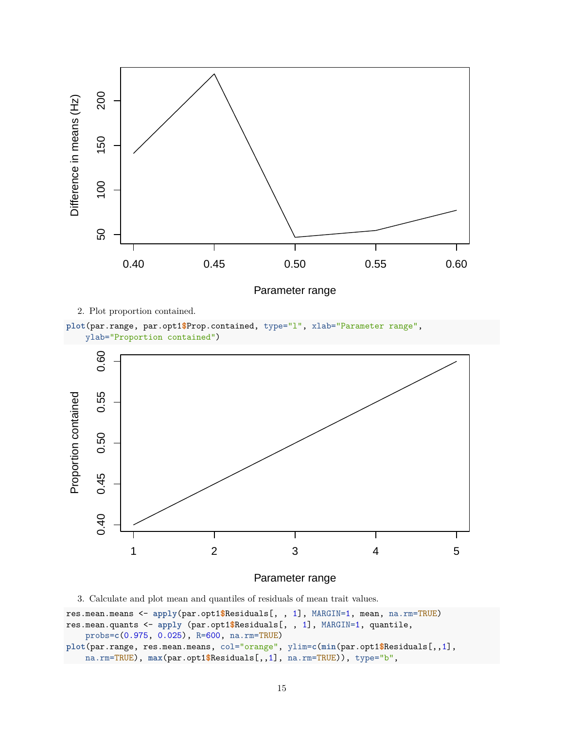

Parameter range

2. Plot proportion contained.





Parameter range

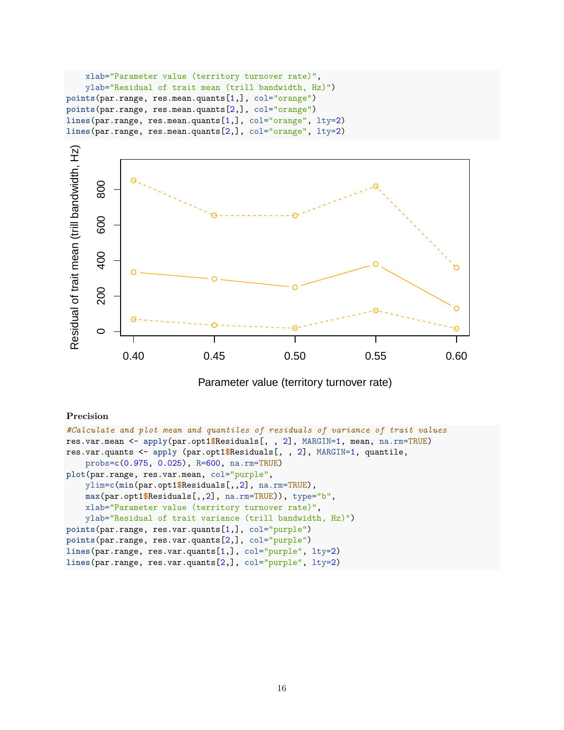```
xlab="Parameter value (territory turnover rate)",
   ylab="Residual of trait mean (trill bandwidth, Hz)")
points(par.range, res.mean.quants[1,], col="orange")
points(par.range, res.mean.quants[2,], col="orange")
lines(par.range, res.mean.quants[1,], col="orange", lty=2)
lines(par.range, res.mean.quants[2,], col="orange", lty=2)
```


Parameter value (territory turnover rate)

# **Precision**

```
#Calculate and plot mean and quantiles of residuals of variance of trait values
res.var.mean <- apply(par.opt1$Residuals[, , 2], MARGIN=1, mean, na.rm=TRUE)
res.var.quants <- apply (par.opt1$Residuals[, , 2], MARGIN=1, quantile,
   probs=c(0.975, 0.025), R=600, na.rm=TRUE)
plot(par.range, res.var.mean, col="purple",
   ylim=c(min(par.opt1$Residuals[,,2], na.rm=TRUE),
   max(par.opt1$Residuals[,,2], na.rm=TRUE)), type="b",
   xlab="Parameter value (territory turnover rate)",
   ylab="Residual of trait variance (trill bandwidth, Hz)")
points(par.range, res.var.quants[1,], col="purple")
points(par.range, res.var.quants[2,], col="purple")
lines(par.range, res.var.quants[1,], col="purple", lty=2)
lines(par.range, res.var.quants[2,], col="purple", lty=2)
```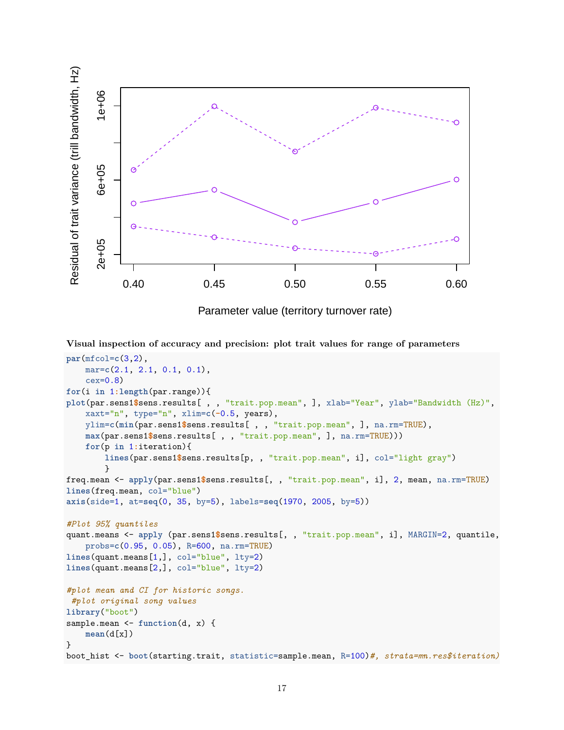

Parameter value (territory turnover rate)

**Visual inspection of accuracy and precision: plot trait values for range of parameters**

```
par(mfcol=c(3,2),
    mar=c(2.1, 2.1, 0.1, 0.1),
    cex=0.8)
for(i in 1:length(par.range)){
plot(par.sens1$sens.results[ , , "trait.pop.mean", ], xlab="Year", ylab="Bandwidth (Hz)",
    xaxt="n", type="n", xlim=c(-0.5, years),
    ylim=c(min(par.sens1$sens.results[ , , "trait.pop.mean", ], na.rm=TRUE),
    max(par.sens1$sens.results[ , , "trait.pop.mean", ], na.rm=TRUE)))
    for(p in 1:iteration){
        lines(par.sens1$sens.results[p, , "trait.pop.mean", i], col="light gray")
        }
freq.mean <- apply(par.sens1$sens.results[, , "trait.pop.mean", i], 2, mean, na.rm=TRUE)
lines(freq.mean, col="blue")
axis(side=1, at=seq(0, 35, by=5), labels=seq(1970, 2005, by=5))
#Plot 95% quantiles
quant.means <- apply (par.sens1$sens.results[, , "trait.pop.mean", i], MARGIN=2, quantile,
    probs=c(0.95, 0.05), R=600, na.rm=TRUE)
lines(quant.means[1,], col="blue", lty=2)
lines(quant.means[2,], col="blue", lty=2)
#plot mean and CI for historic songs.
#plot original song values
library("boot")
sample.mean <- function(d, x) {
    mean(d[x])
}
boot_hist <- boot(starting.trait, statistic=sample.mean, R=100)#, strata=mn.res$iteration)
```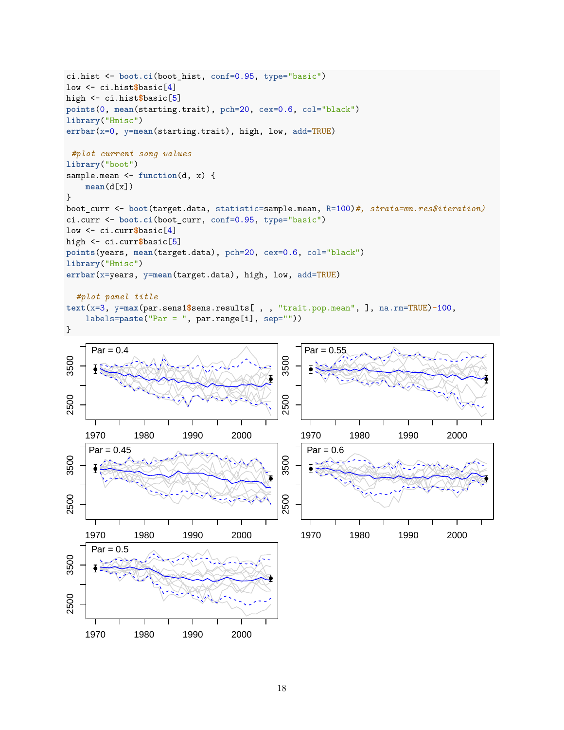```
ci.hist <- boot.ci(boot_hist, conf=0.95, type="basic")
low <- ci.hist$basic[4]
high <- ci.hist$basic[5]
points(0, mean(starting.trait), pch=20, cex=0.6, col="black")
library("Hmisc")
errbar(x=0, y=mean(starting.trait), high, low, add=TRUE)
#plot current song values
library("boot")
sample.mean <- function(d, x) {
    mean(d[x])
}
boot_curr <- boot(target.data, statistic=sample.mean, R=100)#, strata=mn.res$iteration)
ci.curr <- boot.ci(boot_curr, conf=0.95, type="basic")
low <- ci.curr$basic[4]
high <- ci.curr$basic[5]
points(years, mean(target.data), pch=20, cex=0.6, col="black")
library("Hmisc")
errbar(x=years, y=mean(target.data), high, low, add=TRUE)
  #plot panel title
text(x=3, y=max(par.sens1$sens.results[ , , "trait.pop.mean", ], na.rm=TRUE)-100,
```

```
labels=paste("Par = ", par.range[i], sep=""))
```


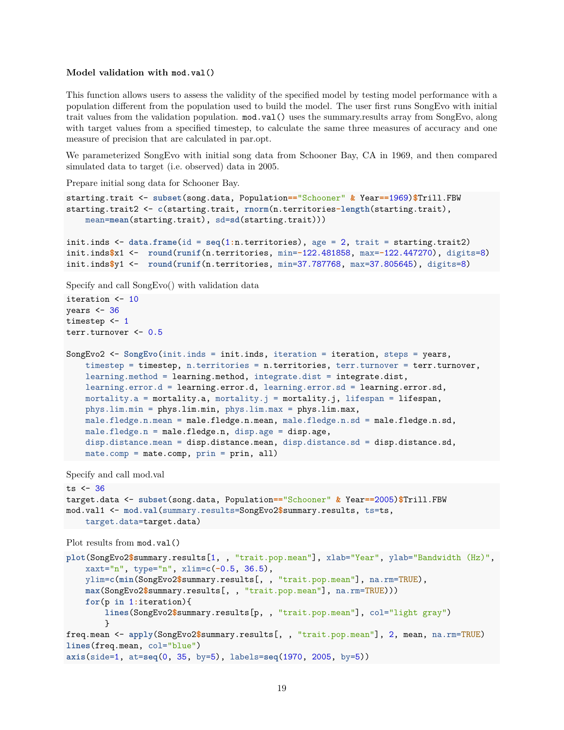#### **Model validation with mod.val()**

This function allows users to assess the validity of the specified model by testing model performance with a population different from the population used to build the model. The user first runs SongEvo with initial trait values from the validation population. mod.val() uses the summary.results array from SongEvo, along with target values from a specified timestep, to calculate the same three measures of accuracy and one measure of precision that are calculated in par.opt.

We parameterized SongEvo with initial song data from Schooner Bay, CA in 1969, and then compared simulated data to target (i.e. observed) data in 2005.

Prepare initial song data for Schooner Bay.

```
starting.trait <- subset(song.data, Population=="Schooner" & Year==1969)$Trill.FBW
starting.trait2 <- c(starting.trait, rnorm(n.territories-length(starting.trait),
   mean=mean(starting.trait), sd=sd(starting.trait)))
```

```
init.inds <- data.frame(id = seq(1:n.territories), age = 2, trait = starting.trait2)
init.inds$x1 <- round(runif(n.territories, min=-122.481858, max=-122.447270), digits=8)
init.inds$y1 <- round(runif(n.territories, min=37.787768, max=37.805645), digits=8)
```
Specify and call SongEvo() with validation data

```
iteration <- 10
years <-36timestep <- 1
terr.turnover <- 0.5
```

```
SongEvo2 <- SongEvo(init.inds = init.inds, iteration = iteration, steps = years,
    timestep = timestep, n.territories = n.territories, terr.turnover = terr.turnover,
   learning.method = learning.method, integrate.dist = integrate.dist,
   learning.error.d = learning.error.d, learning.error.sd = learning.error.sd,
   mortality.a = mortality.a, mortality.j = mortality.j, lifespan = lifespan,
   phys.lim.min = phys.lim.min, phys.lim.max = phys.lim.max,
   male.fledge.n.mean = male.fledge.n.mean, male.fledge.n.sd = male.fledge.n.sd,
   male.fledge.n = male.fledge.n, disp.age = disp.age,
   disp.distance.mean = disp.distance.mean, disp.distance.sd = disp.distance.sd,
   mate.comp = mate.comp, prin = prin, all)
```
Specify and call mod.val

```
ts < -36target.data <- subset(song.data, Population=="Schooner" & Year==2005)$Trill.FBW
mod.val1 <- mod.val(summary.results=SongEvo2$summary.results, ts=ts,
   target.data=target.data)
```

```
Plot results from mod.val()
```

```
plot(SongEvo2$summary.results[1, , "trait.pop.mean"], xlab="Year", ylab="Bandwidth (Hz)",
    xaxt="n", type="n", xlim=c(-0.5, 36.5),
   ylim=c(min(SongEvo2$summary.results[, , "trait.pop.mean"], na.rm=TRUE),
   max(SongEvo2$summary.results[, , "trait.pop.mean"], na.rm=TRUE)))
   for(p in 1:iteration){
        lines(SongEvo2$summary.results[p, , "trait.pop.mean"], col="light gray")
        }
freq.mean <- apply(SongEvo2$summary.results[, , "trait.pop.mean"], 2, mean, na.rm=TRUE)
lines(freq.mean, col="blue")
axis(side=1, at=seq(0, 35, by=5), labels=seq(1970, 2005, by=5))
```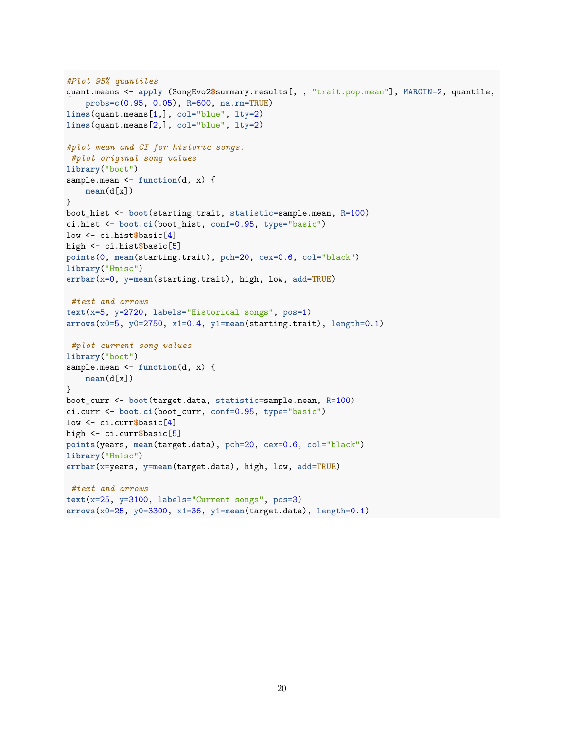```
#Plot 95% quantiles
quant.means <- apply (SongEvo2$summary.results[, , "trait.pop.mean"], MARGIN=2, quantile,
    probs=c(0.95, 0.05), R=600, na.rm=TRUE)
lines(quant.means[1,], col="blue", lty=2)
lines(quant.means[2,], col="blue", lty=2)
#plot mean and CI for historic songs.
#plot original song values
library("boot")
sample.mean <- function(d, x) {
    mean(d[x])
}
boot_hist <- boot(starting.trait, statistic=sample.mean, R=100)
ci.hist <- boot.ci(boot_hist, conf=0.95, type="basic")
low <- ci.hist$basic[4]
high <- ci.hist$basic[5]
points(0, mean(starting.trait), pch=20, cex=0.6, col="black")
library("Hmisc")
errbar(x=0, y=mean(starting.trait), high, low, add=TRUE)
#text and arrows
text(x=5, y=2720, labels="Historical songs", pos=1)
arrows(x0=5, y0=2750, x1=0.4, y1=mean(starting.trait), length=0.1)
#plot current song values
library("boot")
sample.mean <- function(d, x) {
    mean(d[x])
}
boot_curr <- boot(target.data, statistic=sample.mean, R=100)
ci.curr <- boot.ci(boot_curr, conf=0.95, type="basic")
low <- ci.curr$basic[4]
high <- ci.curr$basic[5]
points(years, mean(target.data), pch=20, cex=0.6, col="black")
library("Hmisc")
errbar(x=years, y=mean(target.data), high, low, add=TRUE)
#text and arrows
text(x=25, y=3100, labels="Current songs", pos=3)
arrows(x0=25, y0=3300, x1=36, y1=mean(target.data), length=0.1)
```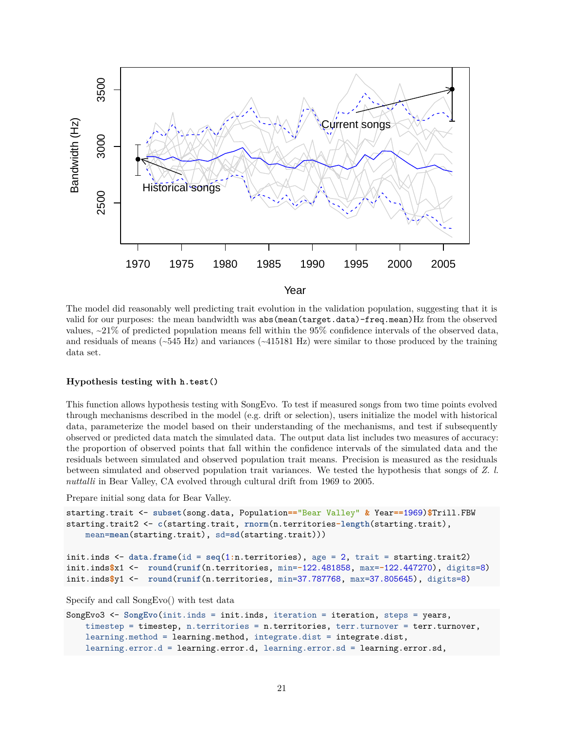

The model did reasonably well predicting trait evolution in the validation population, suggesting that it is valid for our purposes: the mean bandwidth was abs(mean(target.data)-freq.mean)Hz from the observed values,  $\approx$  21% of predicted population means fell within the 95% confidence intervals of the observed data, and residuals of means  $(-545 \text{ Hz})$  and variances  $(-415181 \text{ Hz})$  were similar to those produced by the training data set.

#### **Hypothesis testing with h.test()**

This function allows hypothesis testing with SongEvo. To test if measured songs from two time points evolved through mechanisms described in the model (e.g. drift or selection), users initialize the model with historical data, parameterize the model based on their understanding of the mechanisms, and test if subsequently observed or predicted data match the simulated data. The output data list includes two measures of accuracy: the proportion of observed points that fall within the confidence intervals of the simulated data and the residuals between simulated and observed population trait means. Precision is measured as the residuals between simulated and observed population trait variances. We tested the hypothesis that songs of *Z. l. nuttalli* in Bear Valley, CA evolved through cultural drift from 1969 to 2005.

Prepare initial song data for Bear Valley.

```
starting.trait <- subset(song.data, Population=="Bear Valley" & Year==1969)$Trill.FBW
starting.trait2 <- c(starting.trait, rnorm(n.territories-length(starting.trait),
    mean=mean(starting.trait), sd=sd(starting.trait)))
```

```
init.inds <- data.frame(id = seq(1:n.territories), age = 2, trait = starting.trait2)
init.inds$x1 <- round(runif(n.territories, min=-122.481858, max=-122.447270), digits=8)
init.inds$y1 <- round(runif(n.territories, min=37.787768, max=37.805645), digits=8)
```
Specify and call SongEvo() with test data

```
SongEvo3 <- SongEvo(init.inds = init.inds, iteration = iteration, steps = years,
   timestep = timestep, n.territories = n.territories, terr.turnover = terr.turnover,
    learning.method = learning.method, integrate.dist = integrate.dist,
   learning.error.d = learning.error.d, learning.error.sd = learning.error.sd,
```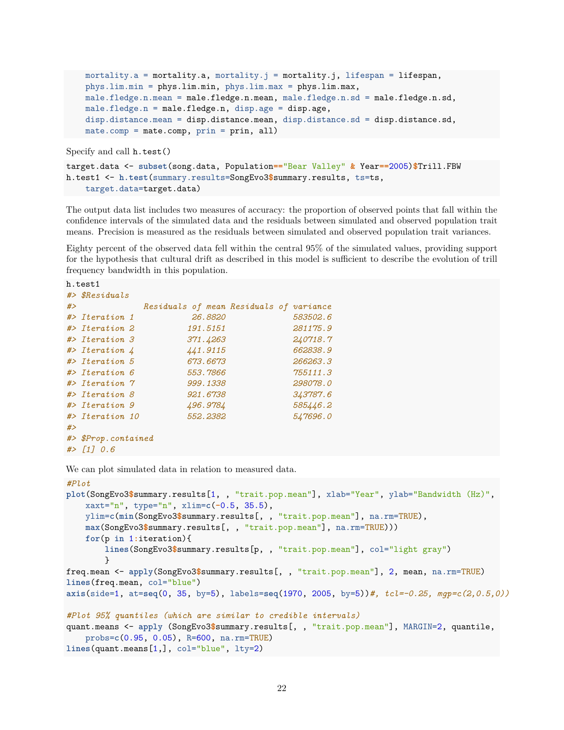```
mortality.a = mortality.a, mortality.j = mortality.j, lifespan = lifespan,
phys.lim.min = phys.lim.min, phys.lim.max = phys.lim.max,
male.fledge.n.mean = male.fledge.n.mean, male.fledge.n.sd = male.fledge.n.sd,
male.fledge.n = male.fledge.n, disp.age = disp.age,
disp.distance.mean = disp.distance.mean, disp.distance.sd = disp.distance.sd,
mate.comp = mate.comp, prin = prin, all)
```
Specify and call h.test()

```
target.data <- subset(song.data, Population=="Bear Valley" & Year==2005)$Trill.FBW
h.test1 <- h.test(summary.results=SongEvo3$summary.results, ts=ts,
    target.data=target.data)
```
The output data list includes two measures of accuracy: the proportion of observed points that fall within the confidence intervals of the simulated data and the residuals between simulated and observed population trait means. Precision is measured as the residuals between simulated and observed population trait variances.

Eighty percent of the observed data fell within the central 95% of the simulated values, providing support for the hypothesis that cultural drift as described in this model is sufficient to describe the evolution of trill frequency bandwidth in this population.

```
h.test1
#> $Residuals
#> Residuals of mean Residuals of variance
#> Iteration 1 26.8820 583502.6
#> Iteration 2 191.5151 281175.9
#> Iteration 3 371.4263 240718.7
#> Iteration 4 441.9115 662838.9
#> Iteration 5 673.6673 266263.3
#> Iteration 6 553.7866 755111.3
#> Iteration 7 999.1338 298078.0
#> Iteration 8 921.6738 343787.6
#> Iteration 9 496.9784 585446.2
#> Iteration 10 552.2382 547696.0
#>
#> $Prop.contained
#> [1] 0.6
```
We can plot simulated data in relation to measured data.

```
#Plot
plot(SongEvo3$summary.results[1, , "trait.pop.mean"], xlab="Year", ylab="Bandwidth (Hz)",
   xaxt="n", type="n", xlim=c(-0.5, 35.5),
   ylim=c(min(SongEvo3$summary.results[, , "trait.pop.mean"], na.rm=TRUE),
   max(SongEvo3$summary.results[, , "trait.pop.mean"], na.rm=TRUE)))
   for(p in 1:iteration){
        lines(SongEvo3$summary.results[p, , "trait.pop.mean"], col="light gray")
        }
freq.mean <- apply(SongEvo3$summary.results[, , "trait.pop.mean"], 2, mean, na.rm=TRUE)
lines(freq.mean, col="blue")
axis(side=1, at=seq(0, 35, by=5), labels=seq(1970, 2005, by=5))#, tcl=-0.25, mgp=c(2,0.5,0))
#Plot 95% quantiles (which are similar to credible intervals)
quant.means <- apply (SongEvo3$summary.results[, , "trait.pop.mean"], MARGIN=2, quantile,
    probs=c(0.95, 0.05), R=600, na.rm=TRUE)
lines(quant.means[1,], col="blue", lty=2)
```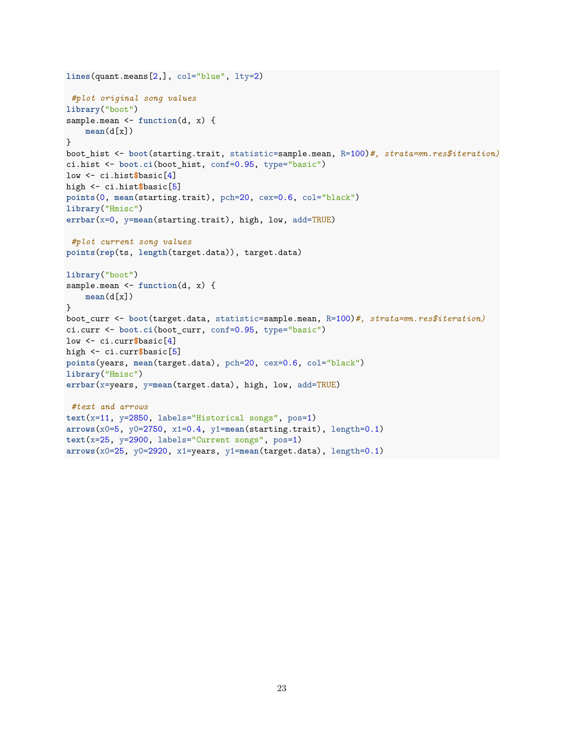```
lines(quant.means[2,], col="blue", lty=2)
#plot original song values
library("boot")
sample.mean <- function(d, x) {
    mean(d[x])
}
boot_hist <- boot(starting.trait, statistic=sample.mean, R=100)#, strata=mn.res$iteration)
ci.hist <- boot.ci(boot_hist, conf=0.95, type="basic")
low <- ci.hist$basic[4]
high <- ci.hist$basic[5]
points(0, mean(starting.trait), pch=20, cex=0.6, col="black")
library("Hmisc")
errbar(x=0, y=mean(starting.trait), high, low, add=TRUE)
#plot current song values
points(rep(ts, length(target.data)), target.data)
library("boot")
sample.mean <- function(d, x) {
    mean(d[x])
}
boot_curr <- boot(target.data, statistic=sample.mean, R=100)#, strata=mn.res$iteration)
ci.curr <- boot.ci(boot_curr, conf=0.95, type="basic")
low <- ci.curr$basic[4]
high <- ci.curr$basic[5]
points(years, mean(target.data), pch=20, cex=0.6, col="black")
library("Hmisc")
errbar(x=years, y=mean(target.data), high, low, add=TRUE)
#text and arrows
text(x=11, y=2850, labels="Historical songs", pos=1)
arrows(x0=5, y0=2750, x1=0.4, y1=mean(starting.trait), length=0.1)
text(x=25, y=2900, labels="Current songs", pos=1)
arrows(x0=25, y0=2920, x1=years, y1=mean(target.data), length=0.1)
```